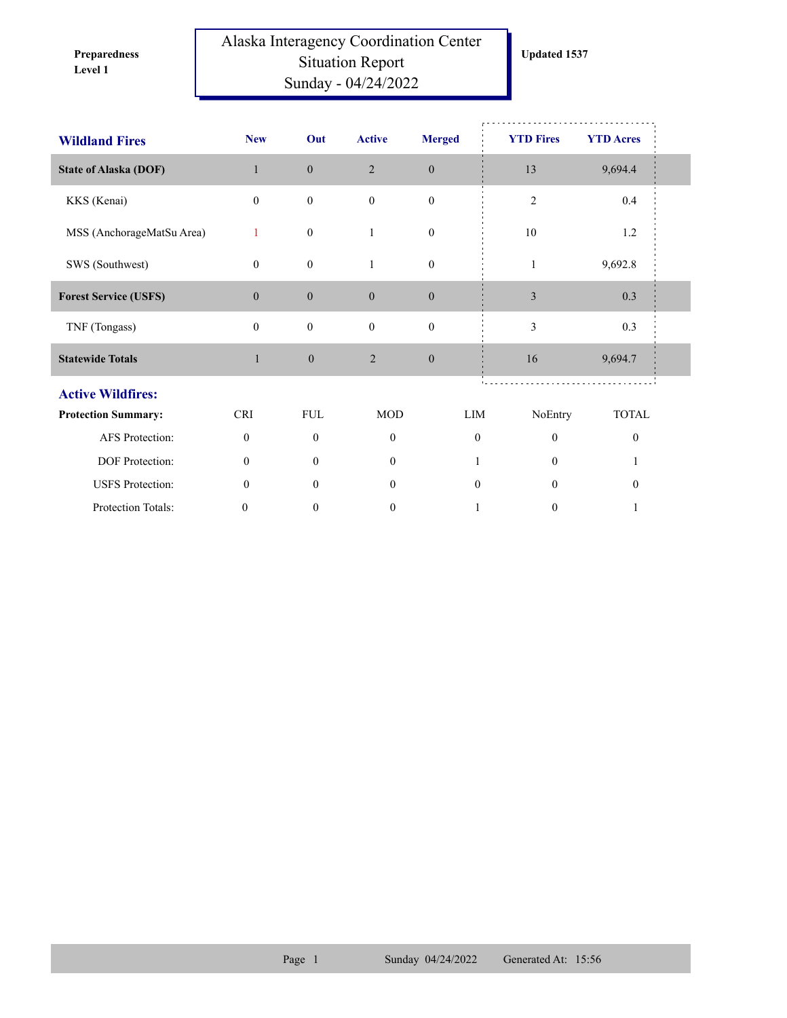**Level 1 Preparedness** 

## Alaska Interagency Coordination Center Situation Report Sunday - 04/24/2022

| <b>Wildland Fires</b>        | <b>New</b>       | Out              | <b>Active</b>    | <b>Merged</b>    | <b>YTD Fires</b> |                  | <b>YTD Acres</b> |  |
|------------------------------|------------------|------------------|------------------|------------------|------------------|------------------|------------------|--|
| <b>State of Alaska (DOF)</b> | $\mathbf{1}$     | $\mathbf{0}$     | 2                | $\boldsymbol{0}$ | 13               |                  | 9,694.4          |  |
| KKS (Kenai)                  | $\overline{0}$   | $\boldsymbol{0}$ | $\mathbf{0}$     | $\mathbf{0}$     | $\overline{2}$   |                  | $0.4\,$          |  |
| MSS (AnchorageMatSu Area)    | 1                | $\boldsymbol{0}$ | 1                | $\boldsymbol{0}$ | 10               |                  | 1.2              |  |
| SWS (Southwest)              | $\overline{0}$   | $\boldsymbol{0}$ | 1                | $\boldsymbol{0}$ | $\mathbf{1}$     |                  | 9,692.8          |  |
| <b>Forest Service (USFS)</b> | $\boldsymbol{0}$ | $\boldsymbol{0}$ | $\boldsymbol{0}$ | $\boldsymbol{0}$ | $\mathfrak{Z}$   |                  | 0.3              |  |
| TNF (Tongass)                | $\mathbf{0}$     | $\boldsymbol{0}$ | $\mathbf{0}$     | $\mathbf{0}$     | 3                |                  | 0.3              |  |
| <b>Statewide Totals</b>      | $\mathbf{1}$     | $\boldsymbol{0}$ | $\sqrt{2}$       | $\boldsymbol{0}$ | 16               |                  | 9,694.7          |  |
| <b>Active Wildfires:</b>     |                  |                  |                  |                  |                  |                  |                  |  |
| <b>Protection Summary:</b>   | <b>CRI</b>       | <b>FUL</b>       | <b>MOD</b>       |                  | LIM              | NoEntry          | <b>TOTAL</b>     |  |
| AFS Protection:              | $\mathbf{0}$     | $\mathbf{0}$     | $\mathbf{0}$     |                  | $\mathbf{0}$     | $\mathbf{0}$     | $\mathbf{0}$     |  |
| DOF Protection:              | $\theta$         | $\theta$         | $\mathbf{0}$     |                  |                  | $\theta$         |                  |  |
| <b>USFS</b> Protection:      | $\mathbf{0}$     | $\theta$         | $\overline{0}$   |                  | $\mathbf{0}$     | $\theta$         | $\mathbf{0}$     |  |
| Protection Totals:           | $\boldsymbol{0}$ | $\boldsymbol{0}$ | $\mathbf{0}$     |                  | 1                | $\boldsymbol{0}$ | 1                |  |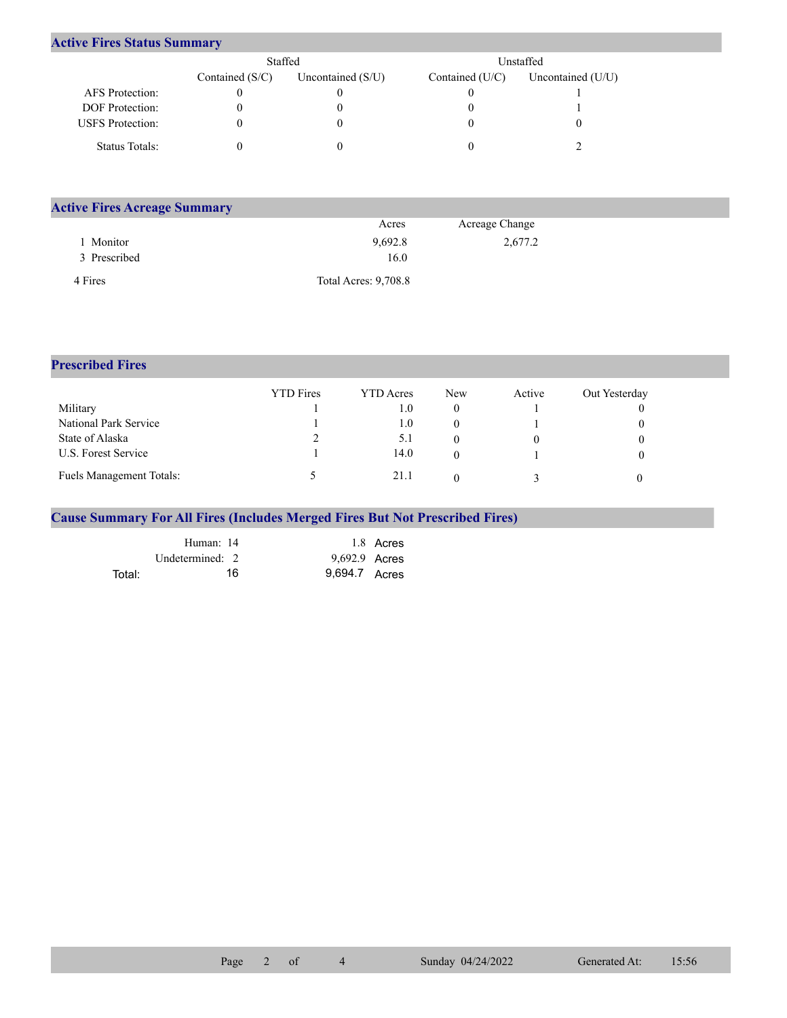## **Active Fires Status Summary**

|                         | Staffed           |                     |                 | Unstaffed.          |
|-------------------------|-------------------|---------------------|-----------------|---------------------|
|                         | Contained $(S/C)$ | Uncontained $(S/U)$ | Contained (U/C) | Uncontained $(U/U)$ |
| AFS Protection:         |                   |                     |                 |                     |
| <b>DOF</b> Protection:  |                   |                     |                 |                     |
| <b>USFS</b> Protection: |                   |                     |                 |                     |
| Status Totals:          |                   |                     |                 |                     |

| <b>Active Fires Acreage Summary</b> |                             |                |  |
|-------------------------------------|-----------------------------|----------------|--|
|                                     | Acres                       | Acreage Change |  |
| Monitor                             | 9,692.8                     | 2,677.2        |  |
| 3 Prescribed                        | 16.0                        |                |  |
| 4 Fires                             | <b>Total Acres: 9,708.8</b> |                |  |

## **Prescribed Fires**

|                                 | <b>YTD</b> Fires | <b>YTD</b> Acres | New | Active | Out Yesterday |
|---------------------------------|------------------|------------------|-----|--------|---------------|
| Military                        |                  | 1.0              |     |        |               |
| National Park Service           |                  | 1.0              |     |        |               |
| State of Alaska                 | ∠                | 5.1              |     |        |               |
| U.S. Forest Service             |                  | 14.0             |     |        |               |
| <b>Fuels Management Totals:</b> |                  | 21.1             |     |        |               |

## **Cause Summary For All Fires (Includes Merged Fires But Not Prescribed Fires)**

|        | Human: 14       | 1.8 Acres     |
|--------|-----------------|---------------|
|        | Undetermined: 2 | 9,692.9 Acres |
| Total: | 16              | 9.694.7 Acres |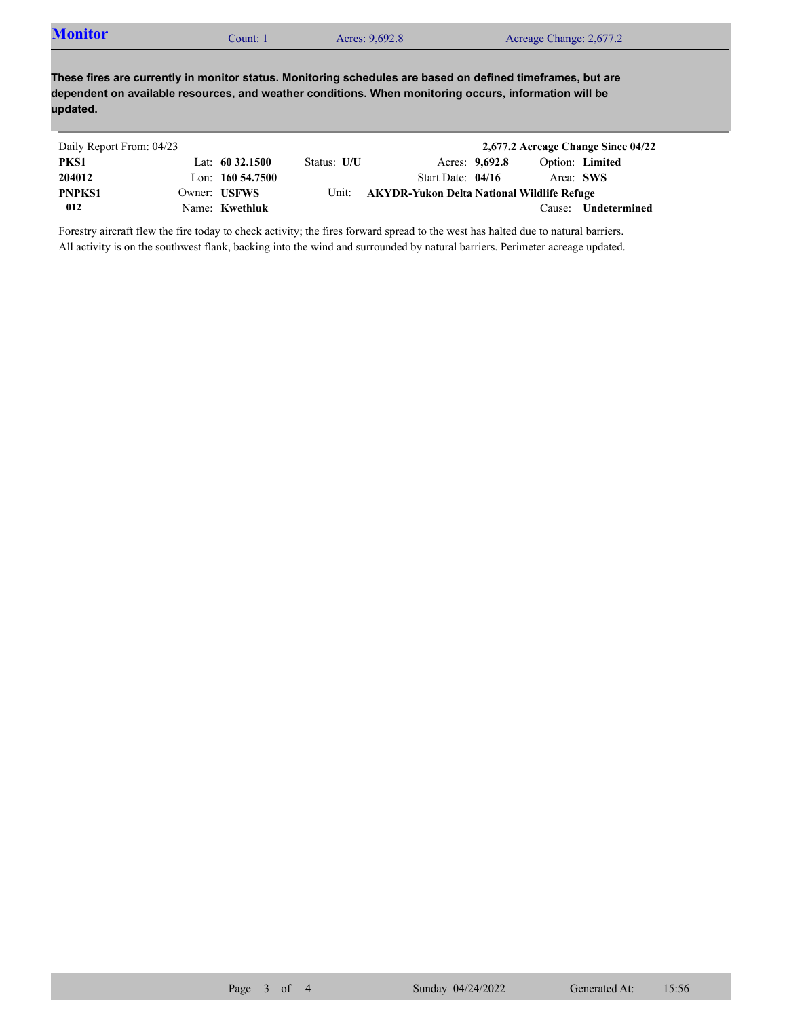| <b>Monitor</b> | count: 1 | Acres: 9,692.8 | Acreage Change: 2,677.2 |  |
|----------------|----------|----------------|-------------------------|--|
|----------------|----------|----------------|-------------------------|--|

**These fires are currently in monitor status. Monitoring schedules are based on defined timeframes, but are dependent on available resources, and weather conditions. When monitoring occurs, information will be updated.**

| Daily Report From: 04/23 |                     |             |                                            |                |           | 2,677.2 Acreage Change Since 04/22 |
|--------------------------|---------------------|-------------|--------------------------------------------|----------------|-----------|------------------------------------|
| PKS1                     | Lat: $60\,32.1500$  | Status: U/U |                                            | Acres: 9,692.8 |           | Option: Limited                    |
| 204012                   | Lon: $160\,54.7500$ |             | Start Date: $04/16$                        |                | Area: SWS |                                    |
| <b>PNPKS1</b>            | Owner: USFWS        | Unit:       | AKYDR-Yukon Delta National Wildlife Refuge |                |           |                                    |
| 012                      | Name: Kwethluk      |             |                                            |                |           | Cause: <b>Undetermined</b>         |

Forestry aircraft flew the fire today to check activity; the fires forward spread to the west has halted due to natural barriers. All activity is on the southwest flank, backing into the wind and surrounded by natural barriers. Perimeter acreage updated.